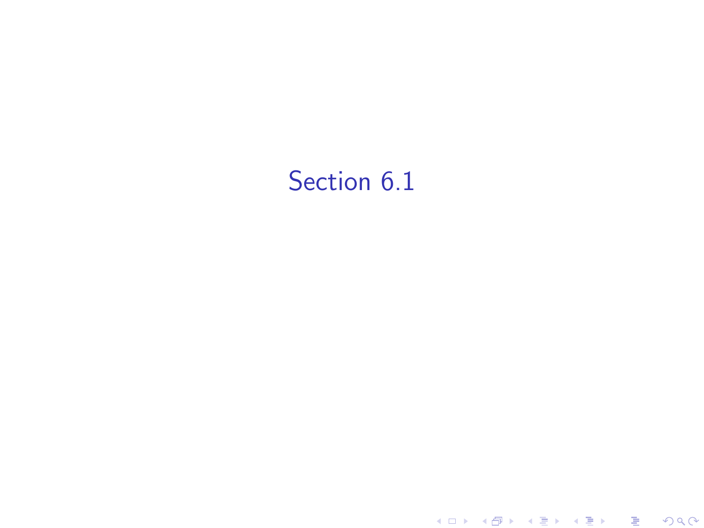## Section 6.1

K ロ ▶ ( d ) | K 글 > | K 글 > | [ 글 | 10 Q Q |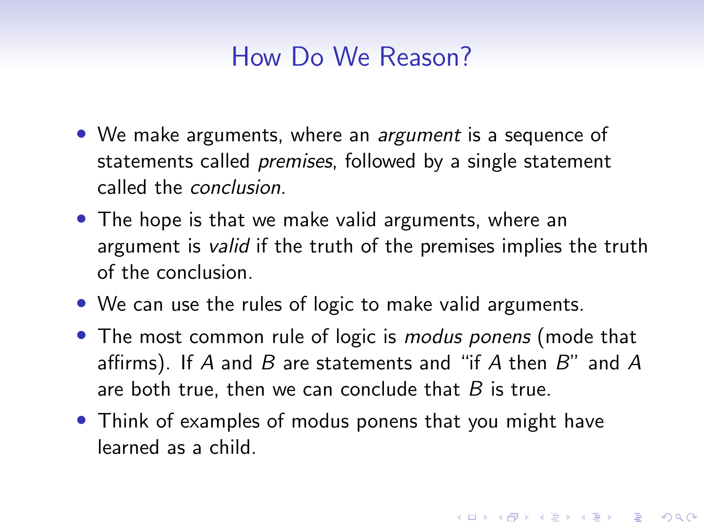## How Do We Reason?

- We make arguments, where an *argument* is a sequence of statements called *premises*, followed by a single statement called the conclusion.
- The hope is that we make valid arguments, where an argument is *valid* if the truth of the premises implies the truth of the conclusion.
- We can use the rules of logic to make valid arguments.
- The most common rule of logic is *modus ponens* (mode that affirms). If A and B are statements and "if A then  $B$ " and A are both true, then we can conclude that  $B$  is true.

4 0 > 4 4 + 4 = + 4 = + = + + 0 4 0 +

• Think of examples of modus ponens that you might have learned as a child.